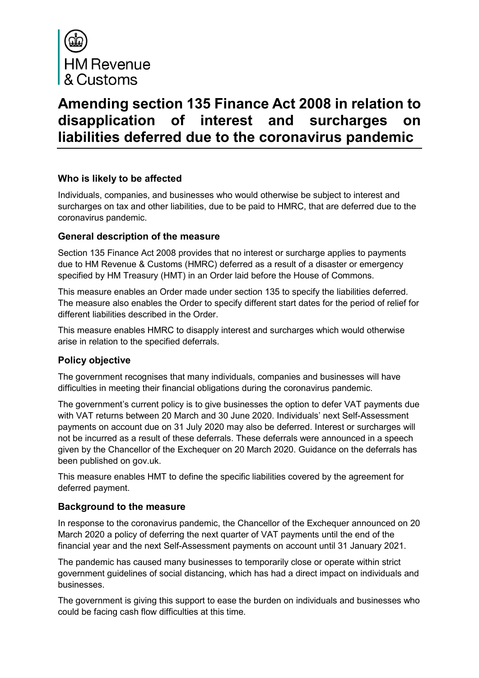

# **Amending section 135 Finance Act 2008 in relation to disapplication of interest and surcharges on liabilities deferred due to the coronavirus pandemic**

## **Who is likely to be affected**

Individuals, companies, and businesses who would otherwise be subject to interest and surcharges on tax and other liabilities, due to be paid to HMRC, that are deferred due to the coronavirus pandemic.

## **General description of the measure**

Section 135 Finance Act 2008 provides that no interest or surcharge applies to payments due to HM Revenue & Customs (HMRC) deferred as a result of a disaster or emergency specified by HM Treasury (HMT) in an Order laid before the House of Commons.

This measure enables an Order made under section 135 to specify the liabilities deferred. The measure also enables the Order to specify different start dates for the period of relief for different liabilities described in the Order.

This measure enables HMRC to disapply interest and surcharges which would otherwise arise in relation to the specified deferrals.

## **Policy objective**

The government recognises that many individuals, companies and businesses will have difficulties in meeting their financial obligations during the coronavirus pandemic.

The government's current policy is to give businesses the option to defer VAT payments due with VAT returns between 20 March and 30 June 2020. Individuals' next Self-Assessment payments on account due on 31 July 2020 may also be deferred. Interest or surcharges will not be incurred as a result of these deferrals. These deferrals were announced in a speech given by the Chancellor of the Exchequer on 20 March 2020. Guidance on the deferrals has been published on gov.uk.

This measure enables HMT to define the specific liabilities covered by the agreement for deferred payment.

## **Background to the measure**

In response to the coronavirus pandemic, the Chancellor of the Exchequer announced on 20 March 2020 a policy of deferring the next quarter of VAT payments until the end of the financial year and the next Self-Assessment payments on account until 31 January 2021.

The pandemic has caused many businesses to temporarily close or operate within strict government guidelines of social distancing, which has had a direct impact on individuals and businesses.

The government is giving this support to ease the burden on individuals and businesses who could be facing cash flow difficulties at this time.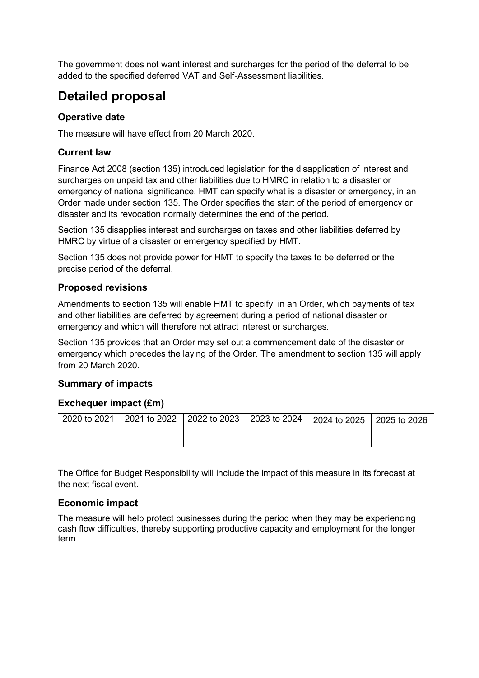The government does not want interest and surcharges for the period of the deferral to be added to the specified deferred VAT and Self-Assessment liabilities.

## **Detailed proposal**

#### **Operative date**

The measure will have effect from 20 March 2020.

#### **Current law**

Finance Act 2008 (section 135) introduced legislation for the disapplication of interest and surcharges on unpaid tax and other liabilities due to HMRC in relation to a disaster or emergency of national significance. HMT can specify what is a disaster or emergency, in an Order made under section 135. The Order specifies the start of the period of emergency or disaster and its revocation normally determines the end of the period.

Section 135 disapplies interest and surcharges on taxes and other liabilities deferred by HMRC by virtue of a disaster or emergency specified by HMT.

Section 135 does not provide power for HMT to specify the taxes to be deferred or the precise period of the deferral.

#### **Proposed revisions**

Amendments to section 135 will enable HMT to specify, in an Order, which payments of tax and other liabilities are deferred by agreement during a period of national disaster or emergency and which will therefore not attract interest or surcharges.

Section 135 provides that an Order may set out a commencement date of the disaster or emergency which precedes the laying of the Order. The amendment to section 135 will apply from 20 March 2020.

#### **Summary of impacts**

#### **Exchequer impact (£m)**

|  | 2020 to 2021 2021 to 2022 2022 to 2023 2023 to 2024 2024 to 2025 2025 to 2026 |  |
|--|-------------------------------------------------------------------------------|--|
|  |                                                                               |  |

The Office for Budget Responsibility will include the impact of this measure in its forecast at the next fiscal event.

#### **Economic impact**

The measure will help protect businesses during the period when they may be experiencing cash flow difficulties, thereby supporting productive capacity and employment for the longer term.